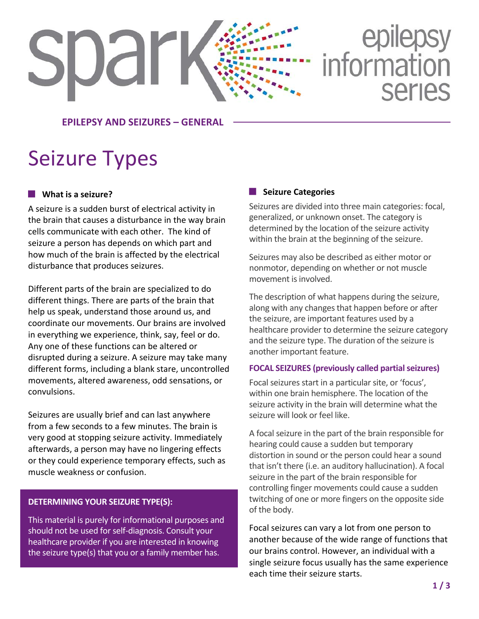# epilepsy<br>information **Series**

**EPILEPSY AND SEIZURES – GENERAL**

# Seizure Types

spar

#### **What is a seizure?**

A seizure is a sudden burst of electrical activity in the brain that causes a disturbance in the way brain cells communicate with each other. The kind of seizure a person has depends on which part and how much of the brain is affected by the electrical disturbance that produces seizures.

Different parts of the brain are specialized to do different things. There are parts of the brain that help us speak, understand those around us, and coordinate our movements. Our brains are involved in everything we experience, think, say, feel or do. Any one of these functions can be altered or disrupted during a seizure. A seizure may take many different forms, including a blank stare, uncontrolled movements, altered awareness, odd sensations, or convulsions.

Seizures are usually brief and can last anywhere from a few seconds to a few minutes. The brain is very good at stopping seizure activity. Immediately afterwards, a person may have no lingering effects or they could experience temporary effects, such as muscle weakness or confusion.

#### **DETERMINING YOUR SEIZURE TYPE(S):**

This material is purely for informational purposes and should not be used for self-diagnosis. Consult your healthcare provider if you are interested in knowing the seizure type(s) that you or a family member has.

#### **Seizure Categories**

Seizures are divided into three main categories: focal, generalized, or unknown onset. The category is determined by the location of the seizure activity within the brain at the beginning of the seizure.

Seizures may also be described as either motor or nonmotor, depending on whether or not muscle movement is involved.

The description of what happens during the seizure, along with any changes that happen before or after the seizure, are important features used by a healthcare provider to determine the seizure category and the seizure type. The duration of the seizure is another important feature.

#### **FOCAL SEIZURES (previously called partial seizures)**

Focal seizures start in a particular site, or 'focus', within one brain hemisphere. The location of the seizure activity in the brain will determine what the seizure will look or feel like.

A focal seizure in the part of the brain responsible for hearing could cause a sudden but temporary distortion in sound or the person could hear a sound that isn't there (i.e. an auditory hallucination). A focal seizure in the part of the brain responsible for controlling finger movements could cause a sudden twitching of one or more fingers on the opposite side of the body.

Focal seizures can vary a lot from one person to another because of the wide range of functions that our brains control. However, an individual with a single seizure focus usually has the same experience each time their seizure starts.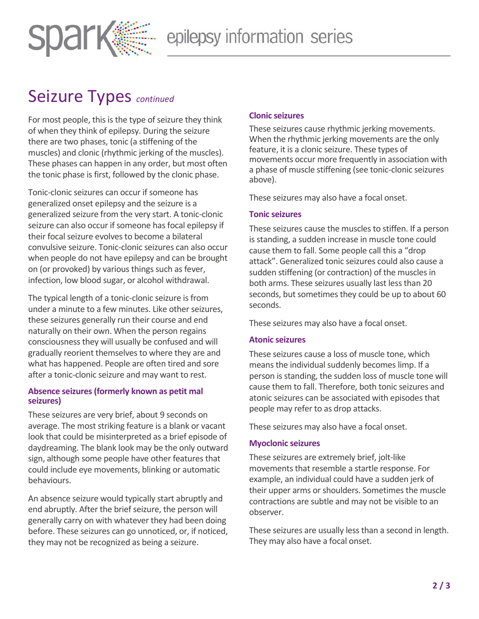

## Seizure Types *continued*

For most people, this is the type of seizure they think of when they think of epilepsy. During the seizure there are two phases, tonic (a stiffening of the muscles) and clonic (rhythmic jerking of the muscles). These phases can happen in any order, but most often the tonic phase is first, followed by the clonic phase.

Tonic-clonic seizures can occur if someone has generalized onset epilepsy and the seizure is a generalized seizure from the very start. A tonic-clonic seizure can also occur if someone has focal epilepsy if their focal seizure evolves to become a bilateral convulsive seizure. Tonic-clonic seizures can also occur when people do not have epilepsy and can be brought on (or provoked) by various things such as fever, infection, low blood sugar, or alcohol withdrawal.

The typical length of a tonic-clonic seizure is from under a minute to a few minutes. Like other seizures, these seizures generally run their course and end naturally on their own. When the person regains consciousness they will usually be confused and will gradually reorient themselves to where they are and what has happened. People are often tired and sore after a tonic-clonic seizure and may want to rest.

#### **Absence seizures (formerly known as petit mal seizures)**

These seizures are very brief, about 9 seconds on average. The most striking feature is a blank or vacant look that could be misinterpreted as a brief episode of daydreaming. The blank look may be the only outward sign, although some people have other features that could include eye movements, blinking or automatic behaviours.

An absence seizure would typically start abruptly and end abruptly. After the brief seizure, the person will generally carry on with whatever they had been doing before. These seizures can go unnoticed, or, if noticed, they may not be recognized as being a seizure.

#### **Clonic seizures**

These seizures cause rhythmic jerking movements. When the rhythmic jerking movements are the only feature, it is a clonic seizure. These types of movements occur more frequently in association with a phase of muscle stiffening (see tonic-clonic seizures above).

These seizures may also have a focal onset.

#### **Tonic seizures**

These seizures cause the muscles to stiffen. If a person is standing, a sudden increase in muscle tone could cause them to fall. Some people call this a "drop attack". Generalized tonic seizures could also cause a sudden stiffening (or contraction) of the muscles in both arms. These seizures usually last less than 20 seconds, but sometimes they could be up to about 60 seconds.

These seizures may also have a focal onset.

#### **Atonic seizures**

These seizures cause a loss of muscle tone, which means the individual suddenly becomes limp. If a person is standing, the sudden loss of muscle tone will cause them to fall. Therefore, both tonic seizures and atonic seizures can be associated with episodes that people may refer to as drop attacks.

These seizures may also have a focal onset.

#### **Myoclonic seizures**

These seizures are extremely brief, jolt-like movements that resemble a startle response. For example, an individual could have a sudden jerk of their upper arms or shoulders. Sometimes the muscle contractions are subtle and may not be visible to an observer.

These seizures are usually less than a second in length. They may also have a focal onset.